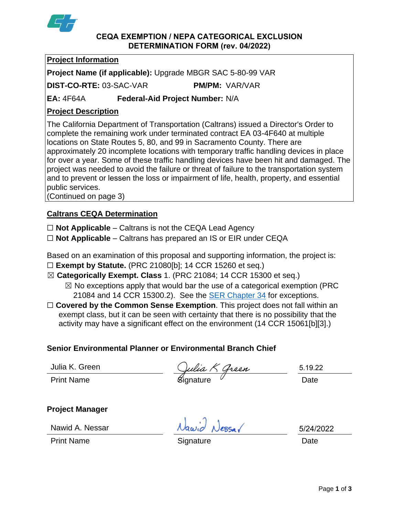

### **CEQA EXEMPTION / NEPA CATEGORICAL EXCLUSION DETERMINATION FORM (rev. 04/2022)**

## **Project Information**

**Project Name (if applicable):** Upgrade MBGR SAC 5-80-99 VAR

**DIST-CO-RTE:** 03-SAC-VAR **PM/PM:** VAR/VAR

**EA:** 4F64A **Federal-Aid Project Number:** N/A

# **Project Description**

The California Department of Transportation (Caltrans) issued a Director's Order to complete the remaining work under terminated contract EA 03-4F640 at multiple locations on State Routes 5, 80, and 99 in Sacramento County. There are approximately 20 incomplete locations with temporary traffic handling devices in place for over a year. Some of these traffic handling devices have been hit and damaged. The project was needed to avoid the failure or threat of failure to the transportation system and to prevent or lessen the loss or impairment of life, health, property, and essential public services.

(Continued on page 3)

## **Caltrans CEQA Determination**

☐ **Not Applicable** – Caltrans is not the CEQA Lead Agency

☐ **Not Applicable** – Caltrans has prepared an IS or EIR under CEQA

Based on an examination of this proposal and supporting information, the project is:

- ☐ **Exempt by Statute.** (PRC 21080[b]; 14 CCR 15260 et seq.)
- ☒ **Categorically Exempt. Class** 1. (PRC 21084; 14 CCR 15300 et seq.)

 $\boxtimes$  No exceptions apply that would bar the use of a categorical exemption (PRC 21084 and 14 CCR 15300.2). See the [SER Chapter 34](https://dot.ca.gov/programs/environmental-analysis/standard-environmental-reference-ser/volume-1-guidance-for-compliance/ch-34-exemptions-to-ceqa#except) for exceptions.

□ **Covered by the Common Sense Exemption**. This project does not fall within an exempt class, but it can be seen with certainty that there is no possibility that the activity may have a significant effect on the environment (14 CCR 15061[b][3].)

## **Senior Environmental Planner or Environmental Branch Chief**

Julia K. Green

Julia K. Green  $\frac{C \mu \mu a \mathcal{L} \mathcal{L} \mu a \mathcal{L} \mu b}{\text{Sianature}}$  5.19.22

5.19.22

**Project Manager**

Nawid A. Nessar

avid Nessar

5/24/2022

Print Name **Signature Construction Date Date**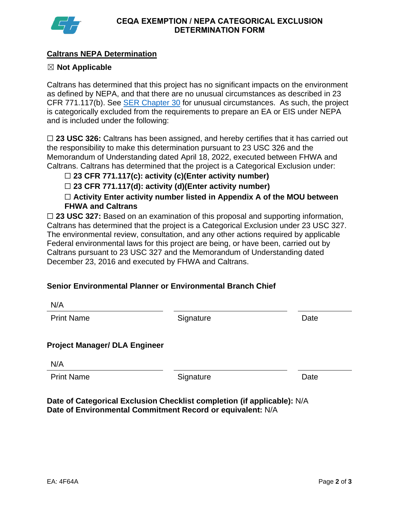

## **Caltrans NEPA Determination**

## ☒ **Not Applicable**

Caltrans has determined that this project has no significant impacts on the environment as defined by NEPA, and that there are no unusual circumstances as described in 23 CFR 771.117(b). See [SER Chapter 30](https://dot.ca.gov/programs/environmental-analysis/standard-environmental-reference-ser/volume-1-guidance-for-compliance/ch-30-categorical-exclusions#exception) for unusual circumstances. As such, the project is categorically excluded from the requirements to prepare an EA or EIS under NEPA and is included under the following:

□ 23 USC 326: Caltrans has been assigned, and hereby certifies that it has carried out the responsibility to make this determination pursuant to 23 USC 326 and the Memorandum of Understanding dated April 18, 2022, executed between FHWA and Caltrans. Caltrans has determined that the project is a Categorical Exclusion under:

☐ **23 CFR 771.117(c): activity (c)(Enter activity number)**

☐ **23 CFR 771.117(d): activity (d)(Enter activity number)**

☐ **Activity Enter activity number listed in Appendix A of the MOU between FHWA and Caltrans**

□ 23 USC 327: Based on an examination of this proposal and supporting information, Caltrans has determined that the project is a Categorical Exclusion under 23 USC 327. The environmental review, consultation, and any other actions required by applicable Federal environmental laws for this project are being, or have been, carried out by Caltrans pursuant to 23 USC 327 and the Memorandum of Understanding dated December 23, 2016 and executed by FHWA and Caltrans.

# **Senior Environmental Planner or Environmental Branch Chief**

| N/A                                  |           |      |
|--------------------------------------|-----------|------|
| <b>Print Name</b>                    | Signature | Date |
|                                      |           |      |
| <b>Project Manager/ DLA Engineer</b> |           |      |
| N/A                                  |           |      |
| <b>Print Name</b>                    | Signature | Date |
|                                      |           |      |

**Date of Categorical Exclusion Checklist completion (if applicable):** N/A **Date of Environmental Commitment Record or equivalent:** N/A